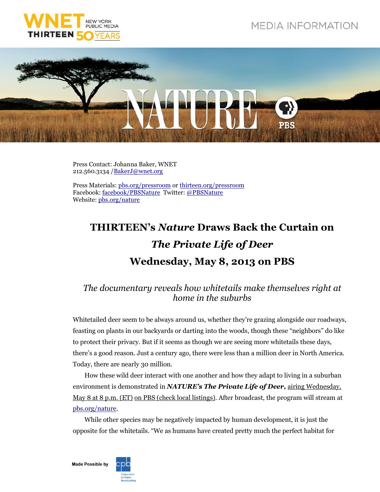



Press Contact: Johanna Baker, WNET 212.560.3134 [/BakerJ@wnet.org](mailto:BakerJ@wnet.org)

Press Materials: [pbs.org/pressroom](http://pressroom.pbs.org/) o[r thirteen.org/pressroom](http://www.thirteen.org/pressroom) Facebook: [facebook/PBSNature](http://www.facebook.com/PBSNature) Twitter: [@PBSNature](file://thirteen.org/departments/Communications/Commgrp/leed/Local%20Settings/Temporary%20Internet%20Files/leed/Local%20Settings/Documents%20and%20Settings/Murphy/Local%20Settings/Revealing%20the%20Leopard/Press%20Release/twitter.com/pbsnature) Website[: pbs.org/nature](http://www.pbs.org/nature)

## **THIRTEEN's** *Nature* **Draws Back the Curtain on**  *The Private Life of Deer* **Wednesday, May 8, 2013 on PBS**

## *The documentary reveals how whitetails make themselves right at home in the suburbs*

Whitetailed deer seem to be always around us, whether they're grazing alongside our roadways, feasting on plants in our backyards or darting into the woods, though these "neighbors" do like to protect their privacy. But if it seems as though we are seeing more whitetails these days, there's a good reason. Just a century ago, there were less than a million deer in North America. Today, there are nearly 30 million.

How these wild deer interact with one another and how they adapt to living in a suburban environment is demonstrated in *NATURE's The Private Life of Deer,* airing Wednesday, May 8 at 8 p.m. (ET) on PBS (check local listings). After broadcast, the program will stream at [pbs.org/nature.](http://www.pbs.org/nature)

While other species may be negatively impacted by human development, it is just the opposite for the whitetails. "We as humans have created pretty much the perfect habitat for

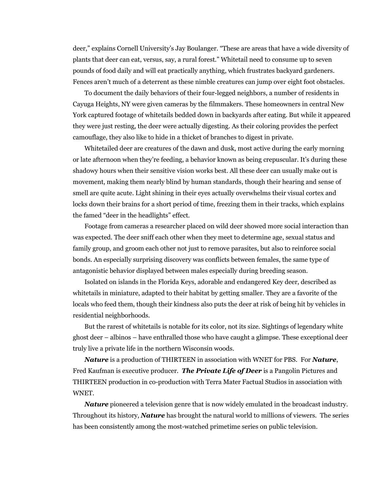deer," explains Cornell University's Jay Boulanger. "These are areas that have a wide diversity of plants that deer can eat, versus, say, a rural forest." Whitetail need to consume up to seven pounds of food daily and will eat practically anything, which frustrates backyard gardeners. Fences aren't much of a deterrent as these nimble creatures can jump over eight foot obstacles.

To document the daily behaviors of their four-legged neighbors, a number of residents in Cayuga Heights, NY were given cameras by the filmmakers. These homeowners in central New York captured footage of whitetails bedded down in backyards after eating. But while it appeared they were just resting, the deer were actually digesting. As their coloring provides the perfect camouflage, they also like to hide in a thicket of branches to digest in private.

Whitetailed deer are creatures of the dawn and dusk, most active during the early morning or late afternoon when they're feeding, a behavior known as being crepuscular. It's during these shadowy hours when their sensitive vision works best. All these deer can usually make out is movement, making them nearly blind by human standards, though their hearing and sense of smell are quite acute. Light shining in their eyes actually overwhelms their visual cortex and locks down their brains for a short period of time, freezing them in their tracks, which explains the famed "deer in the headlights" effect.

Footage from cameras a researcher placed on wild deer showed more social interaction than was expected. The deer sniff each other when they meet to determine age, sexual status and family group, and groom each other not just to remove parasites, but also to reinforce social bonds. An especially surprising discovery was conflicts between females, the same type of antagonistic behavior displayed between males especially during breeding season.

Isolated on islands in the Florida Keys, adorable and endangered Key deer, described as whitetails in miniature, adapted to their habitat by getting smaller. They are a favorite of the locals who feed them, though their kindness also puts the deer at risk of being hit by vehicles in residential neighborhoods.

But the rarest of whitetails is notable for its color, not its size. Sightings of legendary white ghost deer – albinos – have enthralled those who have caught a glimpse. These exceptional deer truly live a private life in the northern Wisconsin woods.

*Nature* is a production of THIRTEEN in association with WNET for PBS. For *Nature*, Fred Kaufman is executive producer. *The Private Life of Deer* is a Pangolin Pictures and THIRTEEN production in co-production with Terra Mater Factual Studios in association with WNET.

*Nature* pioneered a television genre that is now widely emulated in the broadcast industry. Throughout its history, *Nature* has brought the natural world to millions of viewers. The series has been consistently among the most-watched primetime series on public television.